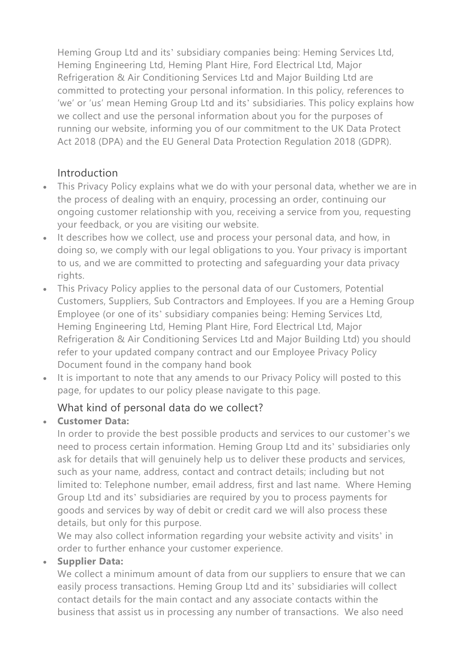Heming Group Ltd and its' subsidiary companies being: Heming Services Ltd, Heming Engineering Ltd, Heming Plant Hire, Ford Electrical Ltd, Major Refrigeration & Air Conditioning Services Ltd and Major Building Ltd are committed to protecting your personal information. In this policy, references to 'we' or 'us' mean Heming Group Ltd and its' subsidiaries. This policy explains how we collect and use the personal information about you for the purposes of running our website, informing you of our commitment to the UK Data Protect Act 2018 (DPA) and the EU General Data Protection Regulation 2018 (GDPR).

# Introduction

- This Privacy Policy explains what we do with your personal data, whether we are in the process of dealing with an enquiry, processing an order, continuing our ongoing customer relationship with you, receiving a service from you, requesting your feedback, or you are visiting our website.
- It describes how we collect, use and process your personal data, and how, in doing so, we comply with our legal obligations to you. Your privacy is important to us, and we are committed to protecting and safeguarding your data privacy rights.
- This Privacy Policy applies to the personal data of our Customers, Potential Customers, Suppliers, Sub Contractors and Employees. If you are a Heming Group Employee (or one of its' subsidiary companies being: Heming Services Ltd, Heming Engineering Ltd, Heming Plant Hire, Ford Electrical Ltd, Major Refrigeration & Air Conditioning Services Ltd and Major Building Ltd) you should refer to your updated company contract and our Employee Privacy Policy Document found in the company hand book
- It is important to note that any amends to our Privacy Policy will posted to this page, for updates to our policy please navigate to this page.

## What kind of personal data do we collect?

## **Customer Data:**

In order to provide the best possible products and services to our customer's we need to process certain information. Heming Group Ltd and its' subsidiaries only ask for details that will genuinely help us to deliver these products and services, such as your name, address, contact and contract details; including but not limited to: Telephone number, email address, first and last name. Where Heming Group Ltd and its' subsidiaries are required by you to process payments for goods and services by way of debit or credit card we will also process these details, but only for this purpose.

We may also collect information regarding your website activity and visits' in order to further enhance your customer experience.

#### **Supplier Data:**

We collect a minimum amount of data from our suppliers to ensure that we can easily process transactions. Heming Group Ltd and its' subsidiaries will collect contact details for the main contact and any associate contacts within the business that assist us in processing any number of transactions. We also need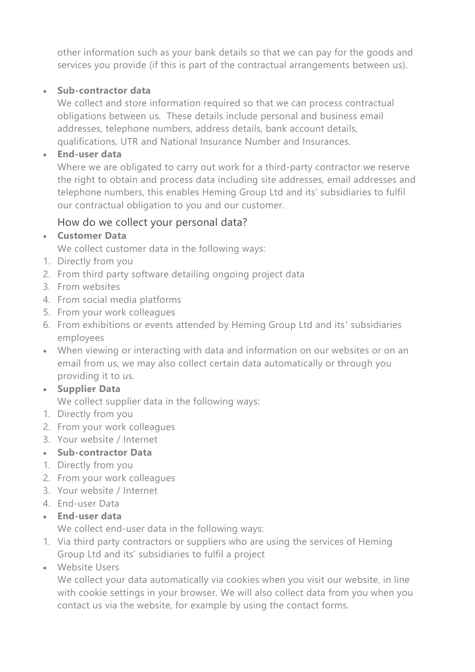other information such as your bank details so that we can pay for the goods and services you provide (if this is part of the contractual arrangements between us).

### **Sub-contractor data**

We collect and store information required so that we can process contractual obligations between us. These details include personal and business email addresses, telephone numbers, address details, bank account details, qualifications, UTR and National Insurance Number and Insurances.

### **End-user data**

Where we are obligated to carry out work for a third-party contractor we reserve the right to obtain and process data including site addresses, email addresses and telephone numbers, this enables Heming Group Ltd and its' subsidiaries to fulfil our contractual obligation to you and our customer.

# How do we collect your personal data?

### **Customer Data**

We collect customer data in the following ways:

- 1. Directly from you
- 2. From third party software detailing ongoing project data
- 3. From websites
- 4. From social media platforms
- 5. From your work colleagues
- 6. From exhibitions or events attended by Heming Group Ltd and its' subsidiaries employees
- When viewing or interacting with data and information on our websites or on an email from us, we may also collect certain data automatically or through you providing it to us.
- **Supplier Data** We collect supplier data in the following ways:
- 1. Directly from you
- 2. From your work colleagues
- 3. Your website / Internet

## **Sub-contractor Data**

- 1. Directly from you
- 2. From your work colleagues
- 3. Your website / Internet
- 4. End-user Data
- **End-user data**

We collect end-user data in the following ways:

- 1. Via third party contractors or suppliers who are using the services of Heming Group Ltd and its' subsidiaries to fulfil a project
- Website Users

We collect your data automatically via cookies when you visit our website, in line with cookie settings in your browser. We will also collect data from you when you contact us via the website, for example by using the contact forms.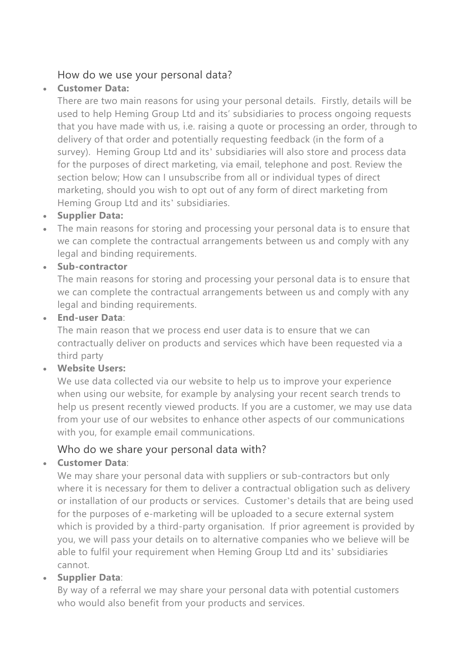### How do we use your personal data?

### **Customer Data:**

There are two main reasons for using your personal details. Firstly, details will be used to help Heming Group Ltd and its' subsidiaries to process ongoing requests that you have made with us, i.e. raising a quote or processing an order, through to delivery of that order and potentially requesting feedback (in the form of a survey). Heming Group Ltd and its' subsidiaries will also store and process data for the purposes of direct marketing, via email, telephone and post. Review the section below; How can I unsubscribe from all or individual types of direct marketing, should you wish to opt out of any form of direct marketing from Heming Group Ltd and its' subsidiaries.

#### **Supplier Data:**

 The main reasons for storing and processing your personal data is to ensure that we can complete the contractual arrangements between us and comply with any legal and binding requirements.

### **Sub-contractor**

The main reasons for storing and processing your personal data is to ensure that we can complete the contractual arrangements between us and comply with any legal and binding requirements.

#### **End-user Data**:

The main reason that we process end user data is to ensure that we can contractually deliver on products and services which have been requested via a third party

#### **Website Users:**

We use data collected via our website to help us to improve your experience when using our website, for example by analysing your recent search trends to help us present recently viewed products. If you are a customer, we may use data from your use of our websites to enhance other aspects of our communications with you, for example email communications.

## Who do we share your personal data with?

## **Customer Data**:

We may share your personal data with suppliers or sub-contractors but only where it is necessary for them to deliver a contractual obligation such as delivery or installation of our products or services. Customer's details that are being used for the purposes of e-marketing will be uploaded to a secure external system which is provided by a third-party organisation. If prior agreement is provided by you, we will pass your details on to alternative companies who we believe will be able to fulfil your requirement when Heming Group Ltd and its' subsidiaries cannot.

## **Supplier Data**:

By way of a referral we may share your personal data with potential customers who would also benefit from your products and services.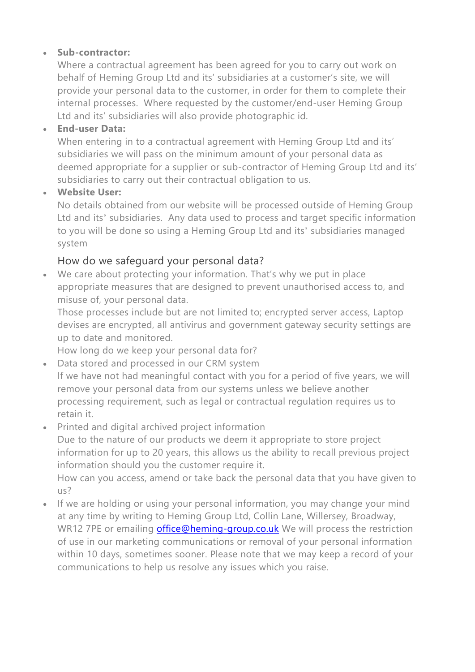#### **Sub-contractor:**

Where a contractual agreement has been agreed for you to carry out work on behalf of Heming Group Ltd and its' subsidiaries at a customer's site, we will provide your personal data to the customer, in order for them to complete their internal processes. Where requested by the customer/end-user Heming Group Ltd and its' subsidiaries will also provide photographic id.

#### **End-user Data:**

When entering in to a contractual agreement with Heming Group Ltd and its' subsidiaries we will pass on the minimum amount of your personal data as deemed appropriate for a supplier or sub-contractor of Heming Group Ltd and its' subsidiaries to carry out their contractual obligation to us.

#### **Website User:**

No details obtained from our website will be processed outside of Heming Group Ltd and its' subsidiaries. Any data used to process and target specific information to you will be done so using a Heming Group Ltd and its' subsidiaries managed system

## How do we safeguard your personal data?

 We care about protecting your information. That's why we put in place appropriate measures that are designed to prevent unauthorised access to, and misuse of, your personal data.

Those processes include but are not limited to; encrypted server access, Laptop devises are encrypted, all antivirus and government gateway security settings are up to date and monitored.

How long do we keep your personal data for?

Data stored and processed in our CRM system

If we have not had meaningful contact with you for a period of five years, we will remove your personal data from our systems unless we believe another processing requirement, such as legal or contractual regulation requires us to retain it.

Printed and digital archived project information

Due to the nature of our products we deem it appropriate to store project information for up to 20 years, this allows us the ability to recall previous project information should you the customer require it.

How can you access, amend or take back the personal data that you have given to us?

If we are holding or using your personal information, you may change your mind at any time by writing to Heming Group Ltd, Collin Lane, Willersey, Broadway, WR12 7PE or emailing [office@heming-group.co.uk](mailto:office@heming-group.co.uk) We will process the restriction of use in our marketing communications or removal of your personal information within 10 days, sometimes sooner. Please note that we may keep a record of your communications to help us resolve any issues which you raise.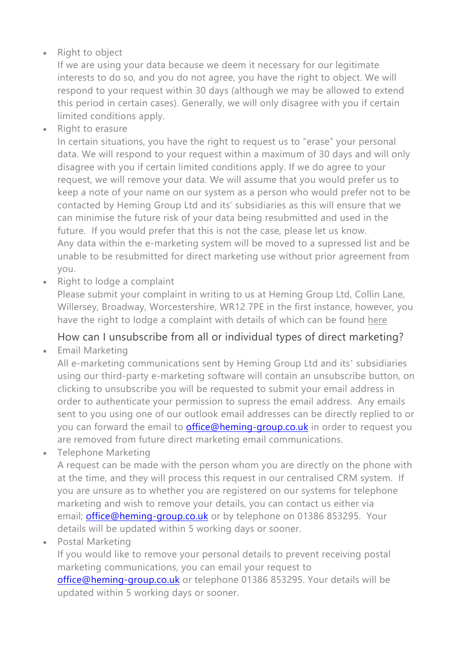## Right to object

If we are using your data because we deem it necessary for our legitimate interests to do so, and you do not agree, you have the right to object. We will respond to your request within 30 days (although we may be allowed to extend this period in certain cases). Generally, we will only disagree with you if certain limited conditions apply.

• Right to erasure

In certain situations, you have the right to request us to "erase" your personal data. We will respond to your request within a maximum of 30 days and will only disagree with you if certain limited conditions apply. If we do agree to your request, we will remove your data. We will assume that you would prefer us to keep a note of your name on our system as a person who would prefer not to be contacted by Heming Group Ltd and its' subsidiaries as this will ensure that we can minimise the future risk of your data being resubmitted and used in the future. If you would prefer that this is not the case, please let us know. Any data within the e-marketing system will be moved to a supressed list and be unable to be resubmitted for direct marketing use without prior agreement from you.

• Right to lodge a complaint

Please submit your complaint in writing to us at Heming Group Ltd, Collin Lane, Willersey, Broadway, Worcestershire, WR12 7PE in the first instance, however, you have the right to lodge a complaint with details of which can be found [here](https://ico.org.uk/concerns/)

## How can I unsubscribe from all or individual types of direct marketing?

Email Marketing

All e-marketing communications sent by Heming Group Ltd and its' subsidiaries using our third-party e-marketing software will contain an unsubscribe button, on clicking to unsubscribe you will be requested to submit your email address in order to authenticate your permission to supress the email address. Any emails sent to you using one of our outlook email addresses can be directly replied to or you can forward the email to **[office@heming-group.co.uk](mailto:office@heming-group.co.uk)** in order to request you are removed from future direct marketing email communications.

• Telephone Marketing

A request can be made with the person whom you are directly on the phone with at the time, and they will process this request in our centralised CRM system. If you are unsure as to whether you are registered on our systems for telephone marketing and wish to remove your details, you can contact us either via email; **[office@heming-group.co.uk](mailto:office@heming-group.co.uk)** or by telephone on 01386 853295. Your details will be updated within 5 working days or sooner.

Postal Marketing

If you would like to remove your personal details to prevent receiving postal marketing communications, you can email your request to [office@heming-group.co.uk](mailto:office@heming-group.co.uk) or telephone 01386 853295. Your details will be updated within 5 working days or sooner.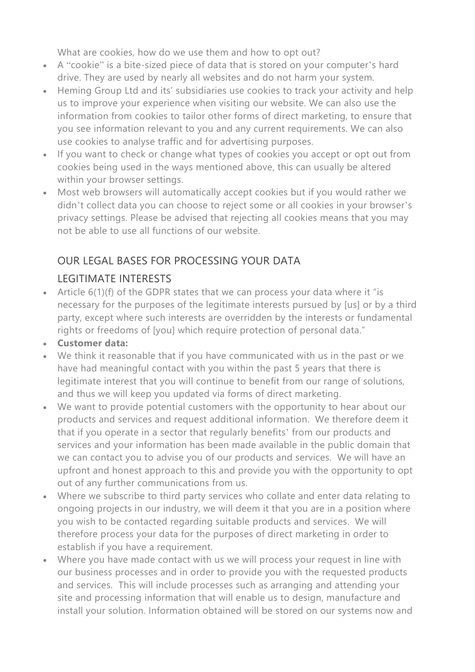What are cookies, how do we use them and how to opt out?

- A "cookie" is a bite-sized piece of data that is stored on your computer's hard drive. They are used by nearly all websites and do not harm your system.
- Heming Group Ltd and its' subsidiaries use cookies to track your activity and help us to improve your experience when visiting our website. We can also use the information from cookies to tailor other forms of direct marketing, to ensure that you see information relevant to you and any current requirements. We can also use cookies to analyse traffic and for advertising purposes.
- If you want to check or change what types of cookies you accept or opt out from cookies being used in the ways mentioned above, this can usually be altered within your browser settings.
- Most web browsers will automatically accept cookies but if you would rather we didn't collect data you can choose to reject some or all cookies in your browser's privacy settings. Please be advised that rejecting all cookies means that you may not be able to use all functions of our website.

# OUR LEGAL BASES FOR PROCESSING YOUR DATA

# LEGITIMATE INTERESTS

 Article 6(1)(f) of the GDPR states that we can process your data where it "is necessary for the purposes of the legitimate interests pursued by [us] or by a third party, except where such interests are overridden by the interests or fundamental rights or freedoms of [you] which require protection of personal data."

## **Customer data:**

- We think it reasonable that if you have communicated with us in the past or we have had meaningful contact with you within the past 5 years that there is legitimate interest that you will continue to benefit from our range of solutions, and thus we will keep you updated via forms of direct marketing.
- We want to provide potential customers with the opportunity to hear about our products and services and request additional information. We therefore deem it that if you operate in a sector that regularly benefits' from our products and services and your information has been made available in the public domain that we can contact you to advise you of our products and services. We will have an upfront and honest approach to this and provide you with the opportunity to opt out of any further communications from us.
- Where we subscribe to third party services who collate and enter data relating to ongoing projects in our industry, we will deem it that you are in a position where you wish to be contacted regarding suitable products and services. We will therefore process your data for the purposes of direct marketing in order to establish if you have a requirement.
- Where you have made contact with us we will process your request in line with our business processes and in order to provide you with the requested products and services. This will include processes such as arranging and attending your site and processing information that will enable us to design, manufacture and install your solution. Information obtained will be stored on our systems now and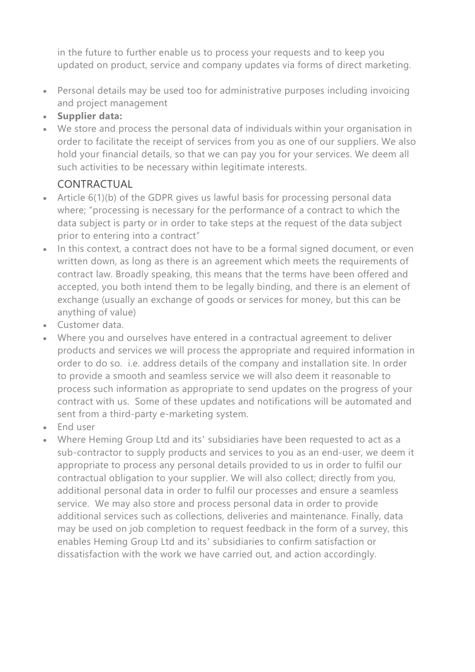in the future to further enable us to process your requests and to keep you updated on product, service and company updates via forms of direct marketing.

- Personal details may be used too for administrative purposes including invoicing and project management
- **Supplier data:**
- We store and process the personal data of individuals within your organisation in order to facilitate the receipt of services from you as one of our suppliers. We also hold your financial details, so that we can pay you for your services. We deem all such activities to be necessary within legitimate interests.

# CONTRACTUAL

- Article 6(1)(b) of the GDPR gives us lawful basis for processing personal data where; "processing is necessary for the performance of a contract to which the data subject is party or in order to take steps at the request of the data subject prior to entering into a contract"
- In this context, a contract does not have to be a formal signed document, or even written down, as long as there is an agreement which meets the requirements of contract law. Broadly speaking, this means that the terms have been offered and accepted, you both intend them to be legally binding, and there is an element of exchange (usually an exchange of goods or services for money, but this can be anything of value)
- Customer data.
- Where you and ourselves have entered in a contractual agreement to deliver products and services we will process the appropriate and required information in order to do so. i.e. address details of the company and installation site. In order to provide a smooth and seamless service we will also deem it reasonable to process such information as appropriate to send updates on the progress of your contract with us. Some of these updates and notifications will be automated and sent from a third-party e-marketing system.
- End user
- Where Heming Group Ltd and its' subsidiaries have been requested to act as a sub-contractor to supply products and services to you as an end-user, we deem it appropriate to process any personal details provided to us in order to fulfil our contractual obligation to your supplier. We will also collect; directly from you, additional personal data in order to fulfil our processes and ensure a seamless service. We may also store and process personal data in order to provide additional services such as collections, deliveries and maintenance. Finally, data may be used on job completion to request feedback in the form of a survey, this enables Heming Group Ltd and its' subsidiaries to confirm satisfaction or dissatisfaction with the work we have carried out, and action accordingly.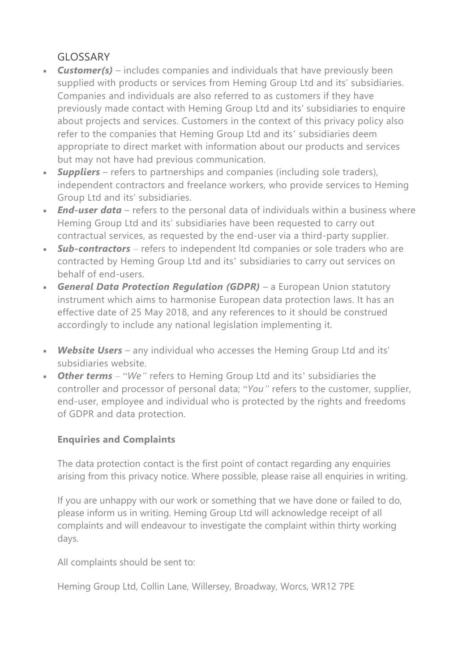# GLOSSARY

- *Customer(s)* includes companies and individuals that have previously been supplied with products or services from Heming Group Ltd and its' subsidiaries. Companies and individuals are also referred to as customers if they have previously made contact with Heming Group Ltd and its' subsidiaries to enquire about projects and services. Customers in the context of this privacy policy also refer to the companies that Heming Group Ltd and its' subsidiaries deem appropriate to direct market with information about our products and services but may not have had previous communication.
- *Suppliers* refers to partnerships and companies (including sole traders), independent contractors and freelance workers, who provide services to Heming Group Ltd and its' subsidiaries.
- *End-user data* refers to the personal data of individuals within a business where Heming Group Ltd and its' subsidiaries have been requested to carry out contractual services, as requested by the end-user via a third-party supplier.
- *Sub-contractors* refers to independent ltd companies or sole traders who are contracted by Heming Group Ltd and its' subsidiaries to carry out services on behalf of end-users.
- *General Data Protection Regulation (GDPR)* a European Union statutory instrument which aims to harmonise European data protection laws. It has an effective date of 25 May 2018, and any references to it should be construed accordingly to include any national legislation implementing it.
- *Website Users* any individual who accesses the Heming Group Ltd and its' subsidiaries website.
- *Other terms* "*We"* refers to Heming Group Ltd and its' subsidiaries the controller and processor of personal data; "*You"* refers to the customer, supplier, end-user, employee and individual who is protected by the rights and freedoms of GDPR and data protection.

## **Enquiries and Complaints**

The data protection contact is the first point of contact regarding any enquiries arising from this privacy notice. Where possible, please raise all enquiries in writing.

If you are unhappy with our work or something that we have done or failed to do, please inform us in writing. Heming Group Ltd will acknowledge receipt of all complaints and will endeavour to investigate the complaint within thirty working days.

All complaints should be sent to:

Heming Group Ltd, Collin Lane, Willersey, Broadway, Worcs, WR12 7PE